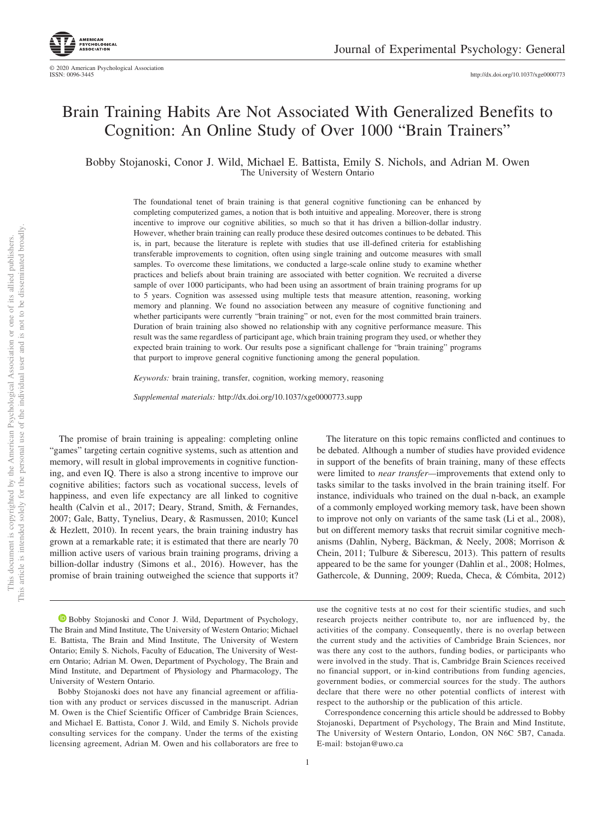# Brain Training Habits Are Not Associated With Generalized Benefits to Cognition: An Online Study of Over 1000 "Brain Trainers"

Bobby Stojanoski, Conor J. Wild, Michael E. Battista, Emily S. Nichols, and Adrian M. Owen The University of Western Ontario

> The foundational tenet of brain training is that general cognitive functioning can be enhanced by completing computerized games, a notion that is both intuitive and appealing. Moreover, there is strong incentive to improve our cognitive abilities, so much so that it has driven a billion-dollar industry. However, whether brain training can really produce these desired outcomes continues to be debated. This is, in part, because the literature is replete with studies that use ill-defined criteria for establishing transferable improvements to cognition, often using single training and outcome measures with small samples. To overcome these limitations, we conducted a large-scale online study to examine whether practices and beliefs about brain training are associated with better cognition. We recruited a diverse sample of over 1000 participants, who had been using an assortment of brain training programs for up to 5 years. Cognition was assessed using multiple tests that measure attention, reasoning, working memory and planning. We found no association between any measure of cognitive functioning and whether participants were currently "brain training" or not, even for the most committed brain trainers. Duration of brain training also showed no relationship with any cognitive performance measure. This result was the same regardless of participant age, which brain training program they used, or whether they expected brain training to work. Our results pose a significant challenge for "brain training" programs that purport to improve general cognitive functioning among the general population.

*Keywords:* brain training, transfer, cognition, working memory, reasoning

*Supplemental materials:* http://dx.doi.org/10.1037/xge0000773.supp

The promise of brain training is appealing: completing online "games" targeting certain cognitive systems, such as attention and memory, will result in global improvements in cognitive functioning, and even IQ. There is also a strong incentive to improve our cognitive abilities; factors such as vocational success, levels of happiness, and even life expectancy are all linked to cognitive health [\(Calvin et al., 2017;](#page-7-0) [Deary, Strand, Smith, & Fernandes,](#page-7-1) [2007;](#page-7-1) [Gale, Batty, Tynelius, Deary, & Rasmussen, 2010;](#page-7-2) [Kuncel](#page-8-0) [& Hezlett, 2010\)](#page-8-0). In recent years, the brain training industry has grown at a remarkable rate; it is estimated that there are nearly 70 million active users of various brain training programs, driving a billion-dollar industry [\(Simons et al., 2016\)](#page-8-1). However, has the promise of brain training outweighed the science that supports it?

**D** [Bobby Stojanoski](https://orcid.org/0000-0001-8595-7634) and Conor J. Wild, Department of Psychology, The Brain and Mind Institute, The University of Western Ontario; Michael E. Battista, The Brain and Mind Institute, The University of Western Ontario; Emily S. Nichols, Faculty of Education, The University of Western Ontario; Adrian M. Owen, Department of Psychology, The Brain and Mind Institute, and Department of Physiology and Pharmacology, The University of Western Ontario.

Bobby Stojanoski does not have any financial agreement or affiliation with any product or services discussed in the manuscript. Adrian M. Owen is the Chief Scientific Officer of Cambridge Brain Sciences, and Michael E. Battista, Conor J. Wild, and Emily S. Nichols provide consulting services for the company. Under the terms of the existing licensing agreement, Adrian M. Owen and his collaborators are free to

The literature on this topic remains conflicted and continues to be debated. Although a number of studies have provided evidence in support of the benefits of brain training, many of these effects were limited to *near transfer—*improvements that extend only to tasks similar to the tasks involved in the brain training itself. For instance, individuals who trained on the dual n-back, an example of a commonly employed working memory task, have been shown to improve not only on variants of the same task [\(Li et al., 2008\)](#page-8-2), but on different memory tasks that recruit similar cognitive mechanisms [\(Dahlin, Nyberg, Bäckman, & Neely, 2008;](#page-7-3) [Morrison &](#page-8-3) [Chein, 2011;](#page-8-3) [Tulbure & Siberescu, 2013\)](#page-9-0). This pattern of results appeared to be the same for younger [\(Dahlin et al., 2008;](#page-7-3) [Holmes,](#page-7-4) [Gathercole, & Dunning, 2009;](#page-7-4) [Rueda, Checa, & Cómbita, 2012\)](#page-8-4)

use the cognitive tests at no cost for their scientific studies, and such research projects neither contribute to, nor are influenced by, the activities of the company. Consequently, there is no overlap between the current study and the activities of Cambridge Brain Sciences, nor was there any cost to the authors, funding bodies, or participants who were involved in the study. That is, Cambridge Brain Sciences received no financial support, or in-kind contributions from funding agencies, government bodies, or commercial sources for the study. The authors declare that there were no other potential conflicts of interest with respect to the authorship or the publication of this article.

Correspondence concerning this article should be addressed to Bobby Stojanoski, Department of Psychology, The Brain and Mind Institute, The University of Western Ontario, London, ON N6C 5B7, Canada. E-mail: [bstojan@uwo.ca](mailto:bstojan@uwo.ca)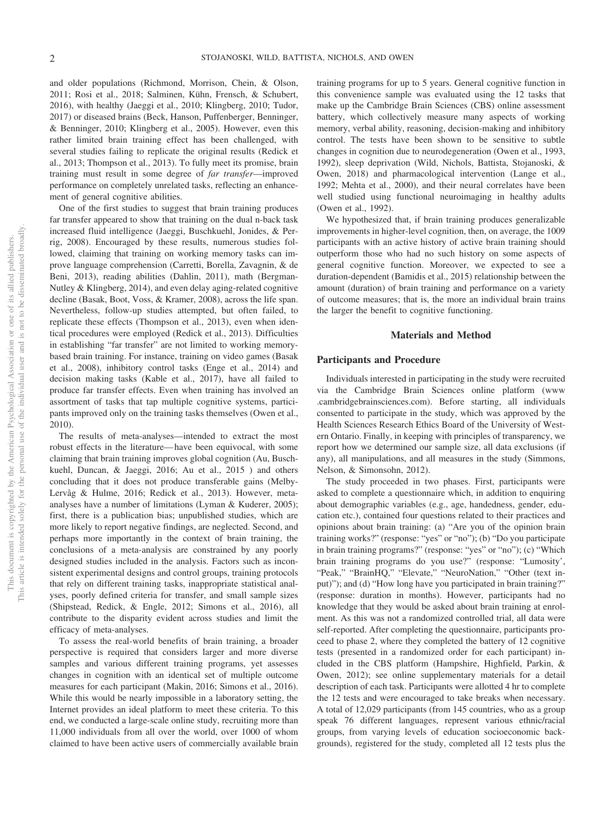and older populations [\(Richmond, Morrison, Chein, & Olson,](#page-8-5) [2011;](#page-8-5) [Rosi et al., 2018;](#page-8-6) [Salminen, Kühn, Frensch, & Schubert,](#page-8-7) [2016\)](#page-8-7), with healthy [\(Jaeggi et al., 2010;](#page-8-8) [Klingberg, 2010;](#page-8-9) [Tudor,](#page-9-1) [2017\)](#page-9-1) or diseased brains [\(Beck, Hanson, Puffenberger, Benninger,](#page-7-5) [& Benninger, 2010;](#page-7-5) [Klingberg et al., 2005\)](#page-8-10). However, even this rather limited brain training effect has been challenged, with several studies failing to replicate the original results [\(Redick et](#page-8-11) [al., 2013;](#page-8-11) [Thompson et al., 2013\)](#page-9-2). To fully meet its promise, brain training must result in some degree of *far transfer*—improved performance on completely unrelated tasks, reflecting an enhancement of general cognitive abilities.

One of the first studies to suggest that brain training produces far transfer appeared to show that training on the dual n-back task increased fluid intelligence [\(Jaeggi, Buschkuehl, Jonides, & Per](#page-7-6)[rig, 2008\)](#page-7-6). Encouraged by these results, numerous studies followed, claiming that training on working memory tasks can improve language comprehension [\(Carretti, Borella, Zavagnin, & de](#page-7-7) [Beni, 2013\)](#page-7-7), reading abilities [\(Dahlin, 2011\)](#page-7-8), math [\(Bergman-](#page-7-9)[Nutley & Klingberg, 2014\)](#page-7-9), and even delay aging-related cognitive decline [\(Basak, Boot, Voss, & Kramer, 2008\)](#page-7-10), across the life span. Nevertheless, follow-up studies attempted, but often failed, to replicate these effects [\(Thompson et al., 2013\)](#page-9-2), even when identical procedures were employed [\(Redick et al., 2013\)](#page-8-11). Difficulties in establishing "far transfer" are not limited to working memorybased brain training. For instance, training on video games [\(Basak](#page-7-10) [et al., 2008\)](#page-7-10), inhibitory control tasks [\(Enge et al., 2014\)](#page-7-11) and decision making tasks [\(Kable et al., 2017\)](#page-8-12), have all failed to produce far transfer effects. Even when training has involved an assortment of tasks that tap multiple cognitive systems, participants improved only on the training tasks themselves [\(Owen et al.,](#page-8-13) [2010\)](#page-8-13).

The results of meta-analyses—intended to extract the most robust effects in the literature— have been equivocal, with some claiming that brain training improves global cognition [\(Au, Busch](#page-7-12)[kuehl, Duncan, & Jaeggi, 2016;](#page-7-12) [Au et al., 2015](#page-7-13) ) and others concluding that it does not produce transferable gains [\(Melby-](#page-8-14)[Lervåg & Hulme, 2016;](#page-8-14) [Redick et al., 2013\)](#page-8-11). However, metaanalyses have a number of limitations [\(Lyman & Kuderer, 2005\)](#page-8-15); first, there is a publication bias; unpublished studies, which are more likely to report negative findings, are neglected. Second, and perhaps more importantly in the context of brain training, the conclusions of a meta-analysis are constrained by any poorly designed studies included in the analysis. Factors such as inconsistent experimental designs and control groups, training protocols that rely on different training tasks, inappropriate statistical analyses, poorly defined criteria for transfer, and small sample sizes [\(Shipstead, Redick, & Engle, 2012;](#page-8-16) [Simons et al., 2016\)](#page-8-1), all contribute to the disparity evident across studies and limit the efficacy of meta-analyses.

To assess the real-world benefits of brain training, a broader perspective is required that considers larger and more diverse samples and various different training programs, yet assesses changes in cognition with an identical set of multiple outcome measures for each participant [\(Makin, 2016;](#page-8-17) [Simons et al., 2016\)](#page-8-1). While this would be nearly impossible in a laboratory setting, the Internet provides an ideal platform to meet these criteria. To this end, we conducted a large-scale online study, recruiting more than 11,000 individuals from all over the world, over 1000 of whom claimed to have been active users of commercially available brain training programs for up to 5 years. General cognitive function in this convenience sample was evaluated using the 12 tasks that make up the Cambridge Brain Sciences (CBS) online assessment battery, which collectively measure many aspects of working memory, verbal ability, reasoning, decision-making and inhibitory control. The tests have been shown to be sensitive to subtle changes in cognition due to neurodegeneration [\(Owen et al., 1993,](#page-8-18) [1992\)](#page-8-19), sleep deprivation [\(Wild, Nichols, Battista, Stojanoski, &](#page-9-3) [Owen, 2018\)](#page-9-3) and pharmacological intervention [\(Lange et al.,](#page-8-20) [1992;](#page-8-20) [Mehta et al., 2000\)](#page-8-21), and their neural correlates have been well studied using functional neuroimaging in healthy adults [\(Owen et al., 1992\)](#page-8-19).

We hypothesized that, if brain training produces generalizable improvements in higher-level cognition, then, on average, the 1009 participants with an active history of active brain training should outperform those who had no such history on some aspects of general cognitive function. Moreover, we expected to see a duration-dependent [\(Bamidis et al., 2015\)](#page-7-14) relationship between the amount (duration) of brain training and performance on a variety of outcome measures; that is, the more an individual brain trains the larger the benefit to cognitive functioning.

## **Materials and Method**

## **Participants and Procedure**

Individuals interested in participating in the study were recruited via the Cambridge Brain Sciences online platform [\(www](http://www.cambridgebrainsciences.com) [.cambridgebrainsciences.com\)](http://www.cambridgebrainsciences.com). Before starting, all individuals consented to participate in the study, which was approved by the Health Sciences Research Ethics Board of the University of Western Ontario. Finally, in keeping with principles of transparency, we report how we determined our sample size, all data exclusions (if any), all manipulations, and all measures in the study [\(Simmons,](#page-8-22) [Nelson, & Simonsohn, 2012\)](#page-8-22).

The study proceeded in two phases. First, participants were asked to complete a questionnaire which, in addition to enquiring about demographic variables (e.g., age, handedness, gender, education etc.), contained four questions related to their practices and opinions about brain training: (a) "Are you of the opinion brain training works?" (response: "yes" or "no"); (b) "Do you participate in brain training programs?" (response: "yes" or "no"); (c) "Which brain training programs do you use?" (response: "Lumosity', "Peak," "BrainHQ," "Elevate," "NeuroNation," "Other (text input)"); and (d) "How long have you participated in brain training?" (response: duration in months). However, participants had no knowledge that they would be asked about brain training at enrolment. As this was not a randomized controlled trial, all data were self-reported. After completing the questionnaire, participants proceed to phase 2, where they completed the battery of 12 cognitive tests (presented in a randomized order for each participant) included in the CBS platform [\(Hampshire, Highfield, Parkin, &](#page-7-15) [Owen, 2012\)](#page-7-15); see [online supplementary materials](http://dx.doi.org/10.1037/xge0000773.supp) for a detail description of each task. Participants were allotted 4 hr to complete the 12 tests and were encouraged to take breaks when necessary. A total of 12,029 participants (from 145 countries, who as a group speak 76 different languages, represent various ethnic/racial groups, from varying levels of education socioeconomic backgrounds), registered for the study, completed all 12 tests plus the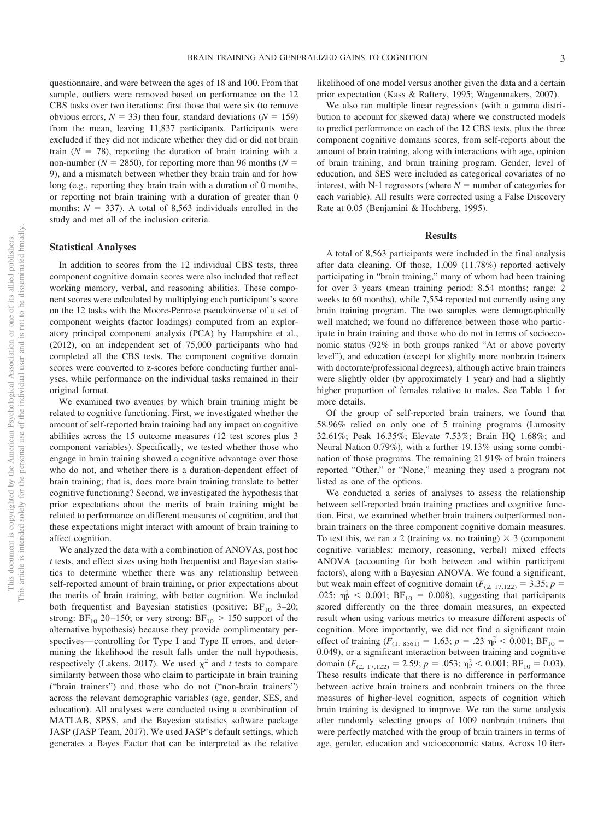questionnaire, and were between the ages of 18 and 100. From that sample, outliers were removed based on performance on the 12 CBS tasks over two iterations: first those that were six (to remove obvious errors,  $N = 33$ ) then four, standard deviations ( $N = 159$ ) from the mean, leaving 11,837 participants. Participants were excluded if they did not indicate whether they did or did not brain train  $(N = 78)$ , reporting the duration of brain training with a non-number ( $N = 2850$ ), for reporting more than 96 months ( $N =$ 9), and a mismatch between whether they brain train and for how long (e.g., reporting they brain train with a duration of 0 months, or reporting not brain training with a duration of greater than 0 months;  $N = 337$ ). A total of 8,563 individuals enrolled in the study and met all of the inclusion criteria.

## **Statistical Analyses**

In addition to scores from the 12 individual CBS tests, three component cognitive domain scores were also included that reflect working memory, verbal, and reasoning abilities. These component scores were calculated by multiplying each participant's score on the 12 tasks with the Moore-Penrose pseudoinverse of a set of component weights (factor loadings) computed from an exploratory principal component analysis (PCA) by [Hampshire et al.,](#page-7-15) [\(2012\),](#page-7-15) on an independent set of 75,000 participants who had completed all the CBS tests. The component cognitive domain scores were converted to z-scores before conducting further analyses, while performance on the individual tasks remained in their original format.

We examined two avenues by which brain training might be related to cognitive functioning. First, we investigated whether the amount of self-reported brain training had any impact on cognitive abilities across the 15 outcome measures (12 test scores plus 3 component variables). Specifically, we tested whether those who engage in brain training showed a cognitive advantage over those who do not, and whether there is a duration-dependent effect of brain training; that is, does more brain training translate to better cognitive functioning? Second, we investigated the hypothesis that prior expectations about the merits of brain training might be related to performance on different measures of cognition, and that these expectations might interact with amount of brain training to affect cognition.

We analyzed the data with a combination of ANOVAs, post hoc *t* tests, and effect sizes using both frequentist and Bayesian statistics to determine whether there was any relationship between self-reported amount of brain training, or prior expectations about the merits of brain training, with better cognition. We included both frequentist and Bayesian statistics (positive:  $BF_{10}$  3–20; strong:  $BF_{10}$  20–150; or very strong:  $BF_{10}$  > 150 support of the alternative hypothesis) because they provide complimentary perspectives—controlling for Type I and Type II errors, and determining the likelihood the result falls under the null hypothesis, respectively [\(Lakens, 2017\)](#page-8-23). We used  $\chi^2$  and *t* tests to compare similarity between those who claim to participate in brain training ("brain trainers") and those who do not ("non-brain trainers") across the relevant demographic variables (age, gender, SES, and education). All analyses were conducted using a combination of MATLAB, SPSS, and the Bayesian statistics software package JASP [\(JASP Team, 2017\)](#page-7-16). We used JASP's default settings, which generates a Bayes Factor that can be interpreted as the relative

likelihood of one model versus another given the data and a certain prior expectation [\(Kass & Raftery, 1995;](#page-8-24) [Wagenmakers, 2007\)](#page-9-4).

We also ran multiple linear regressions (with a gamma distribution to account for skewed data) where we constructed models to predict performance on each of the 12 CBS tests, plus the three component cognitive domains scores, from self-reports about the amount of brain training, along with interactions with age, opinion of brain training, and brain training program. Gender, level of education, and SES were included as categorical covariates of no interest, with N-1 regressors (where  $N =$  number of categories for each variable). All results were corrected using a False Discovery Rate at 0.05 [\(Benjamini & Hochberg, 1995\)](#page-7-17).

## **Results**

A total of 8,563 participants were included in the final analysis after data cleaning. Of those, 1,009 (11.78%) reported actively participating in "brain training," many of whom had been training for over 3 years (mean training period: 8.54 months; range: 2 weeks to 60 months), while 7,554 reported not currently using any brain training program. The two samples were demographically well matched; we found no difference between those who participate in brain training and those who do not in terms of socioeconomic status (92% in both groups ranked "At or above poverty level"), and education (except for slightly more nonbrain trainers with doctorate/professional degrees), although active brain trainers were slightly older (by approximately 1 year) and had a slightly higher proportion of females relative to males. See [Table 1](#page-3-0) for more details.

Of the group of self-reported brain trainers, we found that 58.96% relied on only one of 5 training programs (Lumosity 32.61%; Peak 16.35%; Elevate 7.53%; Brain HQ 1.68%; and Neural Nation 0.79%), with a further 19.13% using some combination of those programs. The remaining 21.91% of brain trainers reported "Other," or "None," meaning they used a program not listed as one of the options.

We conducted a series of analyses to assess the relationship between self-reported brain training practices and cognitive function. First, we examined whether brain trainers outperformed nonbrain trainers on the three component cognitive domain measures. To test this, we ran a 2 (training vs. no training)  $\times$  3 (component cognitive variables: memory, reasoning, verbal) mixed effects ANOVA (accounting for both between and within participant factors), along with a Bayesian ANOVA. We found a significant, but weak main effect of cognitive domain  $(F_{(2, 17, 122)} = 3.35; p =$ .025;  $\eta_{\rm P}^2$  < 0.001; BF<sub>10</sub> = 0.008), suggesting that participants scored differently on the three domain measures, an expected result when using various metrics to measure different aspects of cognition. More importantly, we did not find a significant main effect of training  $(F_{(1, 8561)} = 1.63; p = .23 \text{ }\eta_P^2 < 0.001; \text{ BF}_{10} =$ 0.049), or a significant interaction between training and cognitive domain  $(F_{(2, 17, 122)} = 2.59; p = .053; \eta_{\rm P}^2 < 0.001; \text{BF}_{10} = 0.03$ ). These results indicate that there is no difference in performance between active brain trainers and nonbrain trainers on the three measures of higher-level cognition, aspects of cognition which brain training is designed to improve. We ran the same analysis after randomly selecting groups of 1009 nonbrain trainers that were perfectly matched with the group of brain trainers in terms of age, gender, education and socioeconomic status. Across 10 iter-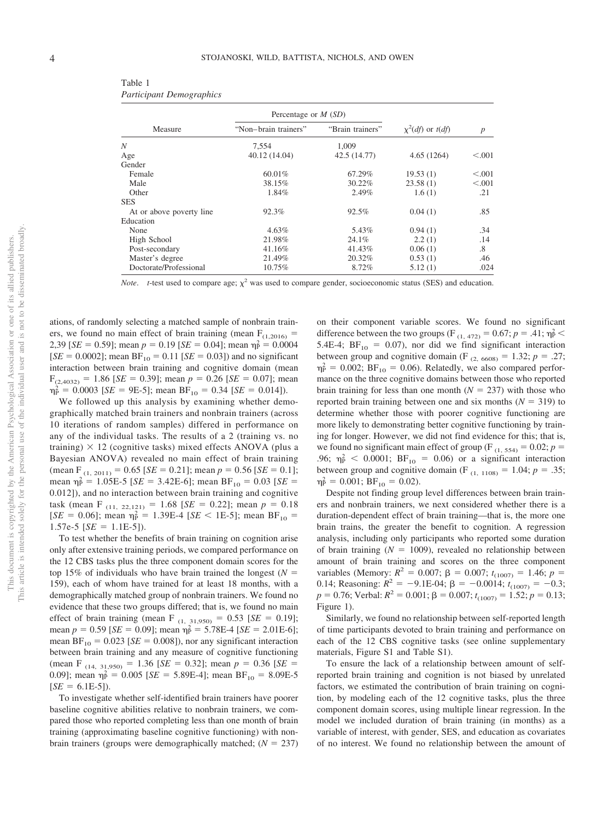| Measure                  | Percentage or $M(SD)$ |                  |                         |                  |
|--------------------------|-----------------------|------------------|-------------------------|------------------|
|                          | "Non-brain trainers"  | "Brain trainers" | $\chi^2(df)$ or $t(df)$ | $\boldsymbol{p}$ |
| N                        | 7.554                 | 1.009            |                         |                  |
| Age                      | 40.12 (14.04)         | 42.5 (14.77)     | 4.65(1264)              | < 0.001          |
| Gender                   |                       |                  |                         |                  |
| Female                   | 60.01%                | 67.29%           | 19.53(1)                | < 0.001          |
| Male                     | 38.15%                | 30.22%           | 23.58(1)                | < 0.001          |
| Other                    | 1.84%                 | 2.49%            | 1.6(1)                  | .21              |
| <b>SES</b>               |                       |                  |                         |                  |
| At or above poverty line | 92.3%                 | 92.5%            | 0.04(1)                 | .85              |
| Education                |                       |                  |                         |                  |
| None                     | 4.63%                 | 5.43%            | 0.94(1)                 | .34              |
| High School              | 21.98%                | 24.1%            | 2.2(1)                  | .14              |
| Post-secondary           | 41.16%                | 41.43%           | 0.06(1)                 | .8               |
| Master's degree          | 21.49%                | 20.32%           | 0.53(1)                 | .46              |
| Doctorate/Professional   | 10.75%                | 8.72%            | 5.12(1)                 | .024             |

<span id="page-3-0"></span>Table 1 *Participant Demographics*

*Note. t*-test used to compare age;  $\chi^2$  was used to compare gender, socioeconomic status (SES) and education.

ations, of randomly selecting a matched sample of nonbrain trainers, we found no main effect of brain training (mean  $F_{(1,2016)} =$ 2,39 [*SE* = 0.59]; mean  $p = 0.19$  [*SE* = 0.04]; mean  $\eta_P^2 = 0.0004$  $[SE = 0.0002]$ ; mean  $BF_{10} = 0.11$   $[SE = 0.03]$ ) and no significant interaction between brain training and cognitive domain (mean  $F_{(2,4032)} = 1.86$  [*SE* = 0.39]; mean  $p = 0.26$  [*SE* = 0.07]; mean  $\eta_{\rm P}^2 = 0.0003$  [*SE* = 9E-5]; mean BF<sub>10</sub> = 0.34 [*SE* = 0.014]).

We followed up this analysis by examining whether demographically matched brain trainers and nonbrain trainers (across 10 iterations of random samples) differed in performance on any of the individual tasks. The results of a 2 (training vs. no training)  $\times$  12 (cognitive tasks) mixed effects ANOVA (plus a Bayesian ANOVA) revealed no main effect of brain training  $(\text{mean F}_{(1, 2011)} = 0.65 \,[\text{SE} = 0.21]; \text{mean } p = 0.56 \,[\text{SE} = 0.1];$ mean  $\eta_P^2 = 1.05E - 5$  [*SE* = 3.42E-6]; mean BF<sub>10</sub> = 0.03 [*SE* = 0.012]), and no interaction between brain training and cognitive task (mean F<sub>(11, 22,121)</sub> = 1.68 [*SE* = 0.22]; mean  $p = 0.18$ [*SE* = 0.06]; mean  $\eta_P^2 = 1.39E-4$  [*SE* < 1E-5]; mean BF<sub>10</sub> =  $1.57e-5$  [*SE* = 1.1E-5]).

To test whether the benefits of brain training on cognition arise only after extensive training periods, we compared performance on the 12 CBS tasks plus the three component domain scores for the top 15% of individuals who have brain trained the longest  $(N =$ 159), each of whom have trained for at least 18 months, with a demographically matched group of nonbrain trainers. We found no evidence that these two groups differed; that is, we found no main effect of brain training (mean F<sub>(1, 31,950)</sub> =  $0.53$  [*SE* = 0.19]; mean  $p = 0.59$  [*SE* = 0.09]; mean  $\eta_P^2 = 5.78E - 4$  [*SE* = 2.01E-6]; mean  $BF_{10} = 0.023$  [*SE* = 0.008]), nor any significant interaction between brain training and any measure of cognitive functioning  $(\text{mean } F_{(14, 31,950)} = 1.36 \text{ [}SE = 0.32\text{]; mean } p = 0.36 \text{ [}SE =$ 0.09]; mean  $\eta_P^2 = 0.005$  [*SE* = 5.89E-4]; mean BF<sub>10</sub> = 8.09E-5  $[SE = 6.1E-5]$ .

To investigate whether self-identified brain trainers have poorer baseline cognitive abilities relative to nonbrain trainers, we compared those who reported completing less than one month of brain training (approximating baseline cognitive functioning) with nonbrain trainers (groups were demographically matched;  $(N = 237)$ 

on their component variable scores. We found no significant difference between the two groups (F<sub>(1, 472)</sub> = 0.67;  $p = .41$ ;  $\eta_{P}^{2}$  < 5.4E-4;  $BF_{10} = 0.07$ ), nor did we find significant interaction between group and cognitive domain (F<sub>(2, 6608)</sub> = 1.32;  $p = .27$ ;  $\eta_{P}^2 = 0.002$ ; BF<sub>10</sub> = 0.06). Relatedly, we also compared performance on the three cognitive domains between those who reported brain training for less than one month  $(N = 237)$  with those who reported brain training between one and six months  $(N = 319)$  to determine whether those with poorer cognitive functioning are more likely to demonstrating better cognitive functioning by training for longer. However, we did not find evidence for this; that is, we found no significant main effect of group (F<sub>(1, 554)</sub> = 0.02;  $p =$ .96;  $\eta_{\rm P}^2$  < 0.0001;  $BF_{10} = 0.06$ ) or a significant interaction between group and cognitive domain (F<sub>(1, 1108)</sub> = 1.04;  $p = .35$ ;  $\eta_{\rm P}^2 = 0.001$ ;  $BF_{10} = 0.02$ ).

Despite not finding group level differences between brain trainers and nonbrain trainers, we next considered whether there is a duration-dependent effect of brain training—that is, the more one brain trains, the greater the benefit to cognition. A regression analysis, including only participants who reported some duration of brain training  $(N = 1009)$ , revealed no relationship between amount of brain training and scores on the three component variables (Memory:  $R^2 = 0.007$ ;  $\beta = 0.007$ ;  $t_{(1007)} = 1.46$ ;  $p =$ 0.14; Reasoning:  $R^2 = -9.1E-04$ ;  $\beta = -0.0014$ ;  $t_{(1007)} = -0.3$ ;  $p = 0.76$ ; Verbal:  $R^2 = 0.001$ ;  $\beta = 0.007$ ;  $t_{(1007)} = 1.52$ ;  $p = 0.13$ ; [Figure 1\)](#page-4-0).

Similarly, we found no relationship between self-reported length of time participants devoted to brain training and performance on each of the 12 CBS cognitive tasks (see [online supplementary](http://dx.doi.org/10.1037/xge0000773.supp) [materials, Figure S1](http://dx.doi.org/10.1037/xge0000773.supp) and [Table S1\)](http://dx.doi.org/10.1037/xge0000773.supp).

To ensure the lack of a relationship between amount of selfreported brain training and cognition is not biased by unrelated factors, we estimated the contribution of brain training on cognition, by modeling each of the 12 cognitive tasks, plus the three component domain scores, using multiple linear regression. In the model we included duration of brain training (in months) as a variable of interest, with gender, SES, and education as covariates of no interest. We found no relationship between the amount of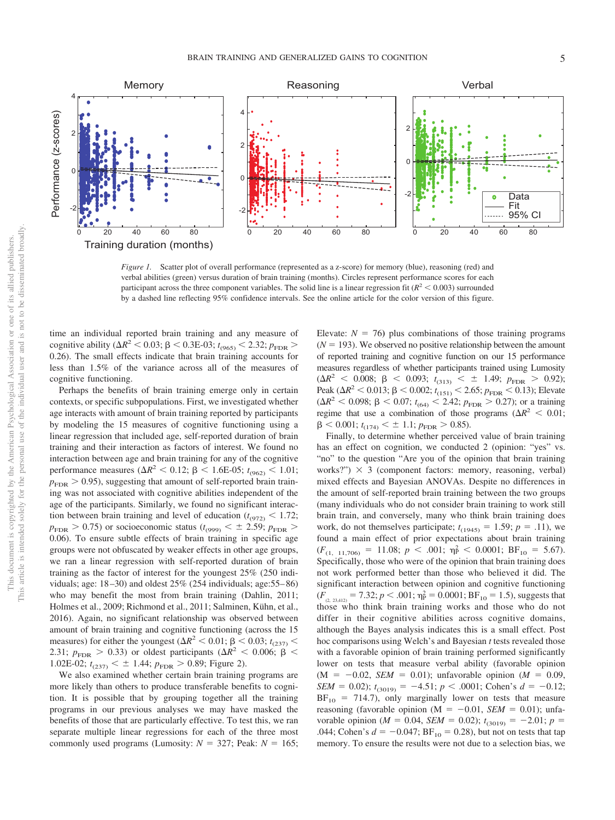

<span id="page-4-0"></span>*Figure 1.* Scatter plot of overall performance (represented as a z-score) for memory (blue), reasoning (red) and verbal abilities (green) versus duration of brain training (months). Circles represent performance scores for each participant across the three component variables. The solid line is a linear regression fit ( $R^2$  < 0.003) surrounded by a dashed line reflecting 95% confidence intervals. See the online article for the color version of this figure.

time an individual reported brain training and any measure of cognitive ability ( $\Delta R^2$  < 0.03;  $\beta$  < 0.3E-03;  $t_{(965)}$  < 2.32;  $p_{\text{FDR}}$  > 0.26). The small effects indicate that brain training accounts for less than 1.5% of the variance across all of the measures of cognitive functioning.

Perhaps the benefits of brain training emerge only in certain contexts, or specific subpopulations. First, we investigated whether age interacts with amount of brain training reported by participants by modeling the 15 measures of cognitive functioning using a linear regression that included age, self-reported duration of brain training and their interaction as factors of interest. We found no interaction between age and brain training for any of the cognitive performance measures ( $\Delta R^2$  < 0.12;  $\beta$  < 1.6E-05; *t*<sub>(962)</sub> < 1.01;  $p_{\text{FDR}} > 0.95$ ), suggesting that amount of self-reported brain training was not associated with cognitive abilities independent of the age of the participants. Similarly, we found no significant interaction between brain training and level of education  $(t_{(972)} < 1.72;$  $p_{\text{FDR}} > 0.75$ ) or socioeconomic status ( $t_{(999)} < \pm 2.59$ ;  $p_{\text{FDR}} >$ 0.06). To ensure subtle effects of brain training in specific age groups were not obfuscated by weaker effects in other age groups, we ran a linear regression with self-reported duration of brain training as the factor of interest for the youngest 25% (250 individuals; age: 18 –30) and oldest 25% (254 individuals; age:55– 86) who may benefit the most from brain training [\(Dahlin, 2011;](#page-7-8) [Holmes et al., 2009;](#page-7-4) [Richmond et al., 2011;](#page-8-5) [Salminen, Kühn, et al.,](#page-8-7) [2016\)](#page-8-7). Again, no significant relationship was observed between amount of brain training and cognitive functioning (across the 15 measures) for either the youngest ( $\Delta R^2$  < 0.01;  $\beta$  < 0.03; *t*<sub>(237)</sub> < 2.31;  $p_{\text{FDR}} > 0.33$ ) or oldest participants ( $\Delta R^2 < 0.006$ ;  $\beta <$ 1.02E-02;  $t_{(237)} < \pm$  1.44;  $p_{\text{FDR}} > 0.89$ ; [Figure 2\)](#page-5-0).

We also examined whether certain brain training programs are more likely than others to produce transferable benefits to cognition. It is possible that by grouping together all the training programs in our previous analyses we may have masked the benefits of those that are particularly effective. To test this, we ran separate multiple linear regressions for each of the three most commonly used programs (Lumosity:  $N = 327$ ; Peak:  $N = 165$ ;

Elevate:  $N = 76$ ) plus combinations of those training programs  $(N = 193)$ . We observed no positive relationship between the amount of reported training and cognitive function on our 15 performance measures regardless of whether participants trained using Lumosity  $(\Delta R^2 \leq 0.008; \beta \leq 0.093; t_{(313)} \leq \pm 1.49; p_{\text{FDR}} > 0.92);$ Peak ( $\Delta R^2$  < 0.013;  $\beta$  < 0.002;  $t_{(151)}$  < 2.65;  $p_{\text{FDR}}$  < 0.13); Elevate  $(\Delta R^2 < 0.098; \beta < 0.07; t_{(64)} < 2.42; p_{\text{FDR}} > 0.27)$ ; or a training regime that use a combination of those programs  $(\Delta R^2 < 0.01)$ ;  $\beta$  < 0.001;  $t_{(174)}$  <  $\pm$  1.1;  $p_{\text{FDR}}$  > 0.85).

Finally, to determine whether perceived value of brain training has an effect on cognition, we conducted 2 (opinion: "yes" vs. "no" to the question "Are you of the opinion that brain training works?")  $\times$  3 (component factors: memory, reasoning, verbal) mixed effects and Bayesian ANOVAs. Despite no differences in the amount of self-reported brain training between the two groups (many individuals who do not consider brain training to work still brain train, and conversely, many who think brain training does work, do not themselves participate;  $t_{(1945)} = 1.59$ ;  $p = .11$ ), we found a main effect of prior expectations about brain training  $(F_{(1, 11,706)} = 11.08; p < .001; \eta_{P}^{2} < 0.0001; BF_{10} = 5.67).$ Specifically, those who were of the opinion that brain training does not work performed better than those who believed it did. The significant interaction between opinion and cognitive functioning  $(F_{(2, 23,412)} = 7.32; p < .001; \eta_{\rm P}^2 = 0.0001; \text{BF}_{10} = 1.5)$ , suggests that those who think brain training works and those who do not differ in their cognitive abilities across cognitive domains, although the Bayes analysis indicates this is a small effect. Post hoc comparisons using Welch's and Bayesian *t* tests revealed those with a favorable opinion of brain training performed significantly lower on tests that measure verbal ability (favorable opinion  $(M = -0.02, \text{ SEM} = 0.01)$ ; unfavorable opinion  $(M = 0.09,$ *SEM* = 0.02);  $t_{(3019)} = -4.51$ ;  $p < .0001$ ; Cohen's  $d = -0.12$ ;  $BF_{10}$  = 714.7), only marginally lower on tests that measure reasoning (favorable opinion  $(M = -0.01, SEM = 0.01)$ ; unfavorable opinion ( $M = 0.04$ , *SEM* = 0.02);  $t_{(3019)} = -2.01$ ;  $p =$ .044; Cohen's  $d = -0.047$ ;  $BF_{10} = 0.28$ ), but not on tests that tap memory. To ensure the results were not due to a selection bias, we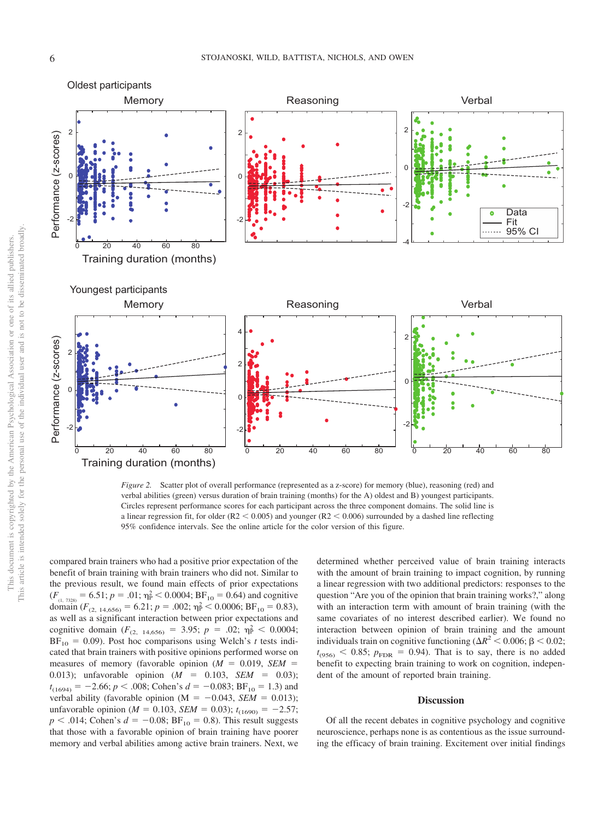

<span id="page-5-0"></span>*Figure 2.* Scatter plot of overall performance (represented as a z-score) for memory (blue), reasoning (red) and verbal abilities (green) versus duration of brain training (months) for the A) oldest and B) youngest participants. Circles represent performance scores for each participant across the three component domains. The solid line is a linear regression fit, for older ( $R2 < 0.005$ ) and younger ( $R2 < 0.006$ ) surrounded by a dashed line reflecting 95% confidence intervals. See the online article for the color version of this figure.

compared brain trainers who had a positive prior expectation of the benefit of brain training with brain trainers who did not. Similar to the previous result, we found main effects of prior expectations  $(F_{(1, 7328)} = 6.51; p = .01; \eta_{P}^{2} < 0.0004; \text{BF}_{10} = 0.64)$  and cognitive domain  $(F_{(2, 14, 656)} = 6.21; p = .002; \eta_{\rm P}^2 < 0.0006; \text{BF}_{10} = 0.83),$ as well as a significant interaction between prior expectations and cognitive domain  $(F_{(2, 14, 656)} = 3.95; p = .02; \eta_P^2 < 0.0004;$  $BF_{10} = 0.09$ ). Post hoc comparisons using Welch's *t* tests indicated that brain trainers with positive opinions performed worse on measures of memory (favorable opinion  $(M = 0.019, SEM =$ 0.013); unfavorable opinion  $(M = 0.103, SEM = 0.03)$ ;  $t_{(1694)} = -2.66$ ;  $p < .008$ ; Cohen's  $d = -0.083$ ; BF<sub>10</sub> = 1.3) and verbal ability (favorable opinion ( $M = -0.043$ , *SEM* = 0.013); unfavorable opinion ( $M = 0.103$ , *SEM* = 0.03);  $t_{(1690)} = -2.57$ ;  $p < .014$ ; Cohen's  $d = -0.08$ ; BF<sub>10</sub> = 0.8). This result suggests that those with a favorable opinion of brain training have poorer memory and verbal abilities among active brain trainers. Next, we

determined whether perceived value of brain training interacts with the amount of brain training to impact cognition, by running a linear regression with two additional predictors: responses to the question "Are you of the opinion that brain training works?," along with an interaction term with amount of brain training (with the same covariates of no interest described earlier). We found no interaction between opinion of brain training and the amount individuals train on cognitive functioning ( $\Delta R^2 < 0.006$ ;  $\beta < 0.02$ ;  $t_{(956)}$  < 0.85;  $p_{\text{FDR}}$  = 0.94). That is to say, there is no added benefit to expecting brain training to work on cognition, independent of the amount of reported brain training.

#### **Discussion**

Of all the recent debates in cognitive psychology and cognitive neuroscience, perhaps none is as contentious as the issue surrounding the efficacy of brain training. Excitement over initial findings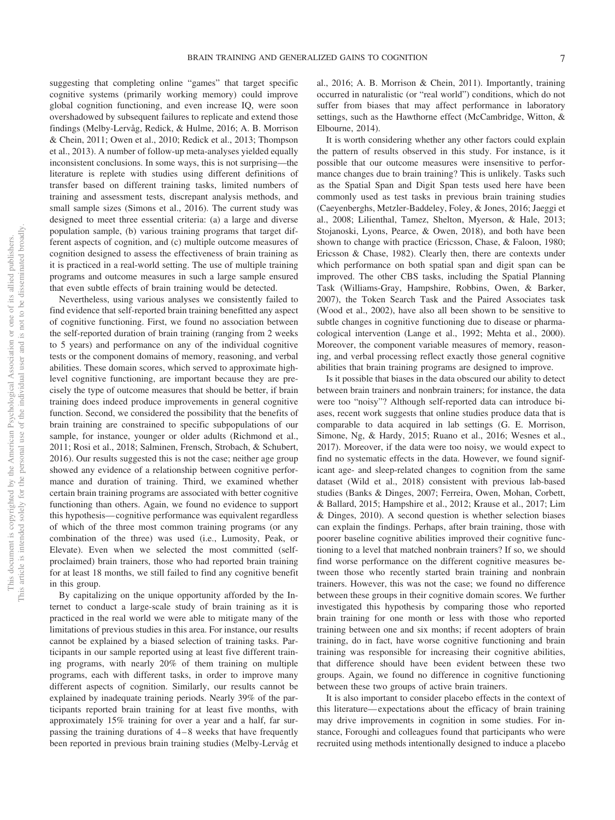suggesting that completing online "games" that target specific cognitive systems (primarily working memory) could improve global cognition functioning, and even increase IQ, were soon overshadowed by subsequent failures to replicate and extend those findings [\(Melby-Lervåg, Redick, & Hulme, 2016;](#page-8-25) [A. B. Morrison](#page-8-3) [& Chein, 2011;](#page-8-3) [Owen et al., 2010;](#page-8-13) [Redick et al., 2013;](#page-8-11) [Thompson](#page-9-2) [et al., 2013\)](#page-9-2). A number of follow-up meta-analyses yielded equally inconsistent conclusions. In some ways, this is not surprising—the literature is replete with studies using different definitions of transfer based on different training tasks, limited numbers of training and assessment tests, discrepant analysis methods, and small sample sizes [\(Simons et al., 2016\)](#page-8-1). The current study was designed to meet three essential criteria: (a) a large and diverse population sample, (b) various training programs that target different aspects of cognition, and (c) multiple outcome measures of cognition designed to assess the effectiveness of brain training as it is practiced in a real-world setting. The use of multiple training programs and outcome measures in such a large sample ensured that even subtle effects of brain training would be detected.

Nevertheless, using various analyses we consistently failed to find evidence that self-reported brain training benefitted any aspect of cognitive functioning. First, we found no association between the self-reported duration of brain training (ranging from 2 weeks to 5 years) and performance on any of the individual cognitive tests or the component domains of memory, reasoning, and verbal abilities. These domain scores, which served to approximate highlevel cognitive functioning, are important because they are precisely the type of outcome measures that should be better, if brain training does indeed produce improvements in general cognitive function. Second, we considered the possibility that the benefits of brain training are constrained to specific subpopulations of our sample, for instance, younger or older adults [\(Richmond et al.,](#page-8-5) [2011;](#page-8-5) [Rosi et al., 2018;](#page-8-6) [Salminen, Frensch, Strobach, & Schubert,](#page-8-26) [2016\)](#page-8-26). Our results suggested this is not the case; neither age group showed any evidence of a relationship between cognitive performance and duration of training. Third, we examined whether certain brain training programs are associated with better cognitive functioning than others. Again, we found no evidence to support this hypothesis— cognitive performance was equivalent regardless of which of the three most common training programs (or any combination of the three) was used (i.e., Lumosity, Peak, or Elevate). Even when we selected the most committed (selfproclaimed) brain trainers, those who had reported brain training for at least 18 months, we still failed to find any cognitive benefit in this group.

By capitalizing on the unique opportunity afforded by the Internet to conduct a large-scale study of brain training as it is practiced in the real world we were able to mitigate many of the limitations of previous studies in this area. For instance, our results cannot be explained by a biased selection of training tasks. Participants in our sample reported using at least five different training programs, with nearly 20% of them training on multiple programs, each with different tasks, in order to improve many different aspects of cognition. Similarly, our results cannot be explained by inadequate training periods. Nearly 39% of the participants reported brain training for at least five months, with approximately 15% training for over a year and a half, far surpassing the training durations of 4 – 8 weeks that have frequently been reported in previous brain training studies [\(Melby-Lervåg et](#page-8-14) [al., 2016;](#page-8-14) [A. B. Morrison & Chein, 2011\)](#page-8-3). Importantly, training occurred in naturalistic (or "real world") conditions, which do not suffer from biases that may affect performance in laboratory settings, such as the Hawthorne effect [\(McCambridge, Witton, &](#page-8-27) [Elbourne, 2014\)](#page-8-27).

It is worth considering whether any other factors could explain the pattern of results observed in this study. For instance, is it possible that our outcome measures were insensitive to performance changes due to brain training? This is unlikely. Tasks such as the Spatial Span and Digit Span tests used here have been commonly used as test tasks in previous brain training studies [\(Caeyenberghs, Metzler-Baddeley, Foley, & Jones, 2016;](#page-7-18) [Jaeggi et](#page-7-6) [al., 2008;](#page-7-6) [Lilienthal, Tamez, Shelton, Myerson, & Hale, 2013;](#page-8-28) [Stojanoski, Lyons, Pearce, & Owen, 2018\)](#page-9-5), and both have been shown to change with practice [\(Ericsson, Chase, & Faloon, 1980;](#page-7-19) [Ericsson & Chase, 1982\)](#page-7-20). Clearly then, there are contexts under which performance on both spatial span and digit span can be improved. The other CBS tasks, including the Spatial Planning Task [\(Williams-Gray, Hampshire, Robbins, Owen, & Barker,](#page-9-6) [2007\)](#page-9-6), the Token Search Task and the Paired Associates task [\(Wood et al., 2002\)](#page-9-7), have also all been shown to be sensitive to subtle changes in cognitive functioning due to disease or pharmacological intervention [\(Lange et al., 1992;](#page-8-20) [Mehta et al., 2000\)](#page-8-21). Moreover, the component variable measures of memory, reasoning, and verbal processing reflect exactly those general cognitive abilities that brain training programs are designed to improve.

Is it possible that biases in the data obscured our ability to detect between brain trainers and nonbrain trainers; for instance, the data were too "noisy"? Although self-reported data can introduce biases, recent work suggests that online studies produce data that is comparable to data acquired in lab settings [\(G. E. Morrison,](#page-8-29) [Simone, Ng, & Hardy, 2015;](#page-8-29) [Ruano et al., 2016;](#page-8-30) [Wesnes et al.,](#page-9-8) [2017\)](#page-9-8). Moreover, if the data were too noisy, we would expect to find no systematic effects in the data. However, we found significant age- and sleep-related changes to cognition from the same dataset [\(Wild et al., 2018\)](#page-9-3) consistent with previous lab-based studies [\(Banks & Dinges, 2007;](#page-7-21) [Ferreira, Owen, Mohan, Corbett,](#page-7-22) [& Ballard, 2015;](#page-7-22) [Hampshire et al., 2012;](#page-7-15) [Krause et al., 2017;](#page-8-31) [Lim](#page-8-32) [& Dinges, 2010\)](#page-8-32). A second question is whether selection biases can explain the findings. Perhaps, after brain training, those with poorer baseline cognitive abilities improved their cognitive functioning to a level that matched nonbrain trainers? If so, we should find worse performance on the different cognitive measures between those who recently started brain training and nonbrain trainers. However, this was not the case; we found no difference between these groups in their cognitive domain scores. We further investigated this hypothesis by comparing those who reported brain training for one month or less with those who reported training between one and six months; if recent adopters of brain training, do in fact, have worse cognitive functioning and brain training was responsible for increasing their cognitive abilities, that difference should have been evident between these two groups. Again, we found no difference in cognitive functioning between these two groups of active brain trainers.

It is also important to consider placebo effects in the context of this literature— expectations about the efficacy of brain training may drive improvements in cognition in some studies. For instance, Foroughi and colleagues found that participants who were recruited using methods intentionally designed to induce a placebo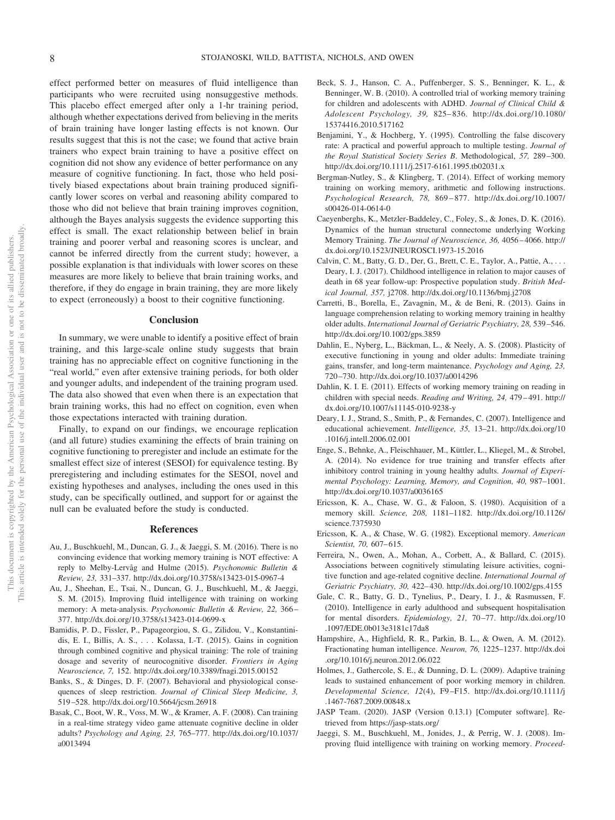effect performed better on measures of fluid intelligence than participants who were recruited using nonsuggestive methods. This placebo effect emerged after only a 1-hr training period, although whether expectations derived from believing in the merits of brain training have longer lasting effects is not known. Our results suggest that this is not the case; we found that active brain trainers who expect brain training to have a positive effect on cognition did not show any evidence of better performance on any measure of cognitive functioning. In fact, those who held positively biased expectations about brain training produced significantly lower scores on verbal and reasoning ability compared to those who did not believe that brain training improves cognition, although the Bayes analysis suggests the evidence supporting this effect is small. The exact relationship between belief in brain training and poorer verbal and reasoning scores is unclear, and cannot be inferred directly from the current study; however, a possible explanation is that individuals with lower scores on these measures are more likely to believe that brain training works, and therefore, if they do engage in brain training, they are more likely to expect (erroneously) a boost to their cognitive functioning.

## **Conclusion**

In summary, we were unable to identify a positive effect of brain training, and this large-scale online study suggests that brain training has no appreciable effect on cognitive functioning in the "real world," even after extensive training periods, for both older and younger adults, and independent of the training program used. The data also showed that even when there is an expectation that brain training works, this had no effect on cognition, even when those expectations interacted with training duration.

Finally, to expand on our findings, we encourage replication (and all future) studies examining the effects of brain training on cognitive functioning to preregister and include an estimate for the smallest effect size of interest (SESOI) for equivalence testing. By preregistering and including estimates for the SESOI, novel and existing hypotheses and analyses, including the ones used in this study, can be specifically outlined, and support for or against the null can be evaluated before the study is conducted.

#### **References**

- <span id="page-7-12"></span>Au, J., Buschkuehl, M., Duncan, G. J., & Jaeggi, S. M. (2016). There is no convincing evidence that working memory training is NOT effective: A reply to Melby-Lervåg and Hulme (2015). *Psychonomic Bulletin & Review, 23,* 331–337.<http://dx.doi.org/10.3758/s13423-015-0967-4>
- <span id="page-7-13"></span>Au, J., Sheehan, E., Tsai, N., Duncan, G. J., Buschkuehl, M., & Jaeggi, S. M. (2015). Improving fluid intelligence with training on working memory: A meta-analysis. *Psychonomic Bulletin & Review, 22,* 366 – 377.<http://dx.doi.org/10.3758/s13423-014-0699-x>
- <span id="page-7-14"></span>Bamidis, P. D., Fissler, P., Papageorgiou, S. G., Zilidou, V., Konstantinidis, E. I., Billis, A. S.,... Kolassa, I.-T. (2015). Gains in cognition through combined cognitive and physical training: The role of training dosage and severity of neurocognitive disorder. *Frontiers in Aging Neuroscience, 7,* 152.<http://dx.doi.org/10.3389/fnagi.2015.00152>
- <span id="page-7-21"></span>Banks, S., & Dinges, D. F. (2007). Behavioral and physiological consequences of sleep restriction. *Journal of Clinical Sleep Medicine, 3,* 519 –528.<http://dx.doi.org/10.5664/jcsm.26918>
- <span id="page-7-10"></span>Basak, C., Boot, W. R., Voss, M. W., & Kramer, A. F. (2008). Can training in a real-time strategy video game attenuate cognitive decline in older adults? *Psychology and Aging, 23,* 765–777. [http://dx.doi.org/10.1037/](http://dx.doi.org/10.1037/a0013494) [a0013494](http://dx.doi.org/10.1037/a0013494)
- <span id="page-7-5"></span>Beck, S. J., Hanson, C. A., Puffenberger, S. S., Benninger, K. L., & Benninger, W. B. (2010). A controlled trial of working memory training for children and adolescents with ADHD. *Journal of Clinical Child & Adolescent Psychology, 39,* 825– 836. [http://dx.doi.org/10.1080/](http://dx.doi.org/10.1080/15374416.2010.517162) [15374416.2010.517162](http://dx.doi.org/10.1080/15374416.2010.517162)
- <span id="page-7-17"></span>Benjamini, Y., & Hochberg, Y. (1995). Controlling the false discovery rate: A practical and powerful approach to multiple testing. *Journal of the Royal Statistical Society Series B*. Methodological, *57,* 289 –300. <http://dx.doi.org/10.1111/j.2517-6161.1995.tb02031.x>
- <span id="page-7-9"></span>Bergman-Nutley, S., & Klingberg, T. (2014). Effect of working memory training on working memory, arithmetic and following instructions. *Psychological Research, 78,* 869 – 877. [http://dx.doi.org/10.1007/](http://dx.doi.org/10.1007/s00426-014-0614-0) [s00426-014-0614-0](http://dx.doi.org/10.1007/s00426-014-0614-0)
- <span id="page-7-18"></span>Caeyenberghs, K., Metzler-Baddeley, C., Foley, S., & Jones, D. K. (2016). Dynamics of the human structural connectome underlying Working Memory Training. *The Journal of Neuroscience, 36,* 4056 – 4066. [http://](http://dx.doi.org/10.1523/JNEUROSCI.1973-15.2016) [dx.doi.org/10.1523/JNEUROSCI.1973-15.2016](http://dx.doi.org/10.1523/JNEUROSCI.1973-15.2016)
- <span id="page-7-0"></span>Calvin, C. M., Batty, G. D., Der, G., Brett, C. E., Taylor, A., Pattie, A.,... Deary, I. J. (2017). Childhood intelligence in relation to major causes of death in 68 year follow-up: Prospective population study. *British Medical Journal, 357,* j2708.<http://dx.doi.org/10.1136/bmj.j2708>
- <span id="page-7-7"></span>Carretti, B., Borella, E., Zavagnin, M., & de Beni, R. (2013). Gains in language comprehension relating to working memory training in healthy older adults. *International Journal of Geriatric Psychiatry, 28,* 539 –546. <http://dx.doi.org/10.1002/gps.3859>
- <span id="page-7-3"></span>Dahlin, E., Nyberg, L., Bäckman, L., & Neely, A. S. (2008). Plasticity of executive functioning in young and older adults: Immediate training gains, transfer, and long-term maintenance. *Psychology and Aging, 23,* 720 –730.<http://dx.doi.org/10.1037/a0014296>
- <span id="page-7-8"></span>Dahlin, K. I. E. (2011). Effects of working memory training on reading in children with special needs. *Reading and Writing, 24,* 479 – 491. [http://](http://dx.doi.org/10.1007/s11145-010-9238-y) [dx.doi.org/10.1007/s11145-010-9238-y](http://dx.doi.org/10.1007/s11145-010-9238-y)
- <span id="page-7-1"></span>Deary, I. J., Strand, S., Smith, P., & Fernandes, C. (2007). Intelligence and educational achievement. *Intelligence, 35,* 13–21. [http://dx.doi.org/10](http://dx.doi.org/10.1016/j.intell.2006.02.001) [.1016/j.intell.2006.02.001](http://dx.doi.org/10.1016/j.intell.2006.02.001)
- <span id="page-7-11"></span>Enge, S., Behnke, A., Fleischhauer, M., Küttler, L., Kliegel, M., & Strobel, A. (2014). No evidence for true training and transfer effects after inhibitory control training in young healthy adults. *Journal of Experimental Psychology: Learning, Memory, and Cognition, 40,* 987–1001. <http://dx.doi.org/10.1037/a0036165>
- <span id="page-7-19"></span>Ericsson, K. A., Chase, W. G., & Faloon, S. (1980). Acquisition of a memory skill. *Science, 208,* 1181–1182. [http://dx.doi.org/10.1126/](http://dx.doi.org/10.1126/science.7375930) [science.7375930](http://dx.doi.org/10.1126/science.7375930)
- <span id="page-7-20"></span>Ericsson, K. A., & Chase, W. G. (1982). Exceptional memory. *American Scientist, 70,* 607– 615.
- <span id="page-7-22"></span>Ferreira, N., Owen, A., Mohan, A., Corbett, A., & Ballard, C. (2015). Associations between cognitively stimulating leisure activities, cognitive function and age-related cognitive decline. *International Journal of Geriatric Psychiatry, 30,* 422– 430.<http://dx.doi.org/10.1002/gps.4155>
- <span id="page-7-2"></span>Gale, C. R., Batty, G. D., Tynelius, P., Deary, I. J., & Rasmussen, F. (2010). Intelligence in early adulthood and subsequent hospitalisation for mental disorders. *Epidemiology, 21,* 70 –77. [http://dx.doi.org/10](http://dx.doi.org/10.1097/EDE.0b013e3181c17da8) [.1097/EDE.0b013e3181c17da8](http://dx.doi.org/10.1097/EDE.0b013e3181c17da8)
- <span id="page-7-15"></span>Hampshire, A., Highfield, R. R., Parkin, B. L., & Owen, A. M. (2012). Fractionating human intelligence. *Neuron, 76,* 1225–1237. [http://dx.doi](http://dx.doi.org/10.1016/j.neuron.2012.06.022) [.org/10.1016/j.neuron.2012.06.022](http://dx.doi.org/10.1016/j.neuron.2012.06.022)
- <span id="page-7-4"></span>Holmes, J., Gathercole, S. E., & Dunning, D. L. (2009). Adaptive training leads to sustained enhancement of poor working memory in children. *Developmental Science, 12*(4), F9 –F15. [http://dx.doi.org/10.1111/j](http://dx.doi.org/10.1111/j.1467-7687.2009.00848.x) [.1467-7687.2009.00848.x](http://dx.doi.org/10.1111/j.1467-7687.2009.00848.x)
- <span id="page-7-16"></span>JASP Team. (2020). JASP (Version 0.13.1) [Computer software]. Retrieved from<https://jasp-stats.org/>
- <span id="page-7-6"></span>Jaeggi, S. M., Buschkuehl, M., Jonides, J., & Perrig, W. J. (2008). Improving fluid intelligence with training on working memory. *Proceed-*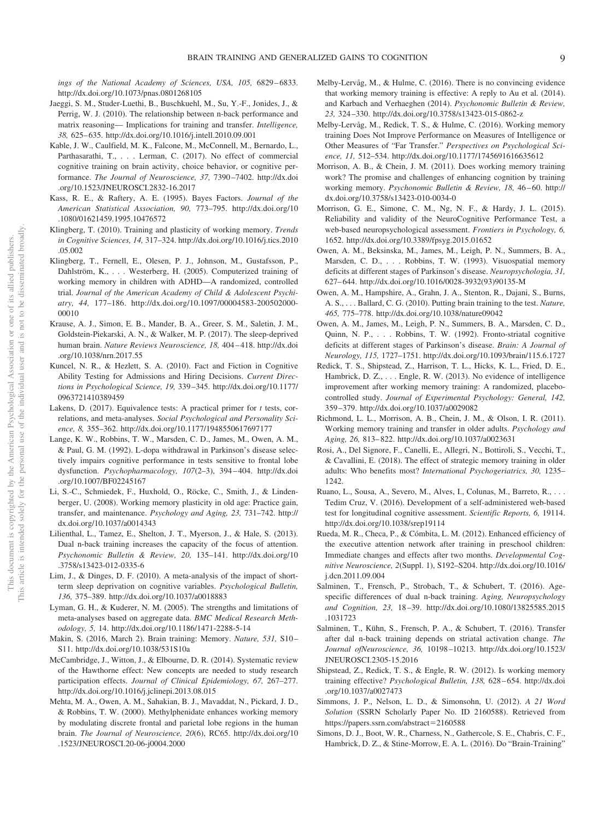ings of the National Academy of Sciences, USA, 105, 6829-6833. <http://dx.doi.org/10.1073/pnas.0801268105>

- <span id="page-8-8"></span>Jaeggi, S. M., Studer-Luethi, B., Buschkuehl, M., Su, Y.-F., Jonides, J., & Perrig, W. J. (2010). The relationship between n-back performance and matrix reasoning— Implications for training and transfer. *Intelligence, 38,* 625– 635.<http://dx.doi.org/10.1016/j.intell.2010.09.001>
- <span id="page-8-12"></span>Kable, J. W., Caulfield, M. K., Falcone, M., McConnell, M., Bernardo, L., Parthasarathi, T.,... Lerman, C. (2017). No effect of commercial cognitive training on brain activity, choice behavior, or cognitive performance. *The Journal of Neuroscience, 37,* 7390 –7402. [http://dx.doi](http://dx.doi.org/10.1523/JNEUROSCI.2832-16.2017) [.org/10.1523/JNEUROSCI.2832-16.2017](http://dx.doi.org/10.1523/JNEUROSCI.2832-16.2017)
- <span id="page-8-24"></span>Kass, R. E., & Raftery, A. E. (1995). Bayes Factors. *Journal of the American Statistical Association, 90,* 773–795. [http://dx.doi.org/10](http://dx.doi.org/10.1080/01621459.1995.10476572) [.1080/01621459.1995.10476572](http://dx.doi.org/10.1080/01621459.1995.10476572)
- <span id="page-8-9"></span>Klingberg, T. (2010). Training and plasticity of working memory. *Trends in Cognitive Sciences, 14,* 317–324. [http://dx.doi.org/10.1016/j.tics.2010](http://dx.doi.org/10.1016/j.tics.2010.05.002) [.05.002](http://dx.doi.org/10.1016/j.tics.2010.05.002)
- <span id="page-8-10"></span>Klingberg, T., Fernell, E., Olesen, P. J., Johnson, M., Gustafsson, P., Dahlström, K.,... Westerberg, H. (2005). Computerized training of working memory in children with ADHD—A randomized, controlled trial. *Journal of the American Academy of Child & Adolescent Psychiatry, 44,* 177–186. [http://dx.doi.org/10.1097/00004583-200502000-](http://dx.doi.org/10.1097/00004583-200502000-00010) [00010](http://dx.doi.org/10.1097/00004583-200502000-00010)
- <span id="page-8-31"></span>Krause, A. J., Simon, E. B., Mander, B. A., Greer, S. M., Saletin, J. M., Goldstein-Piekarski, A. N., & Walker, M. P. (2017). The sleep-deprived human brain. *Nature Reviews Neuroscience, 18,* 404 – 418. [http://dx.doi](http://dx.doi.org/10.1038/nrn.2017.55) [.org/10.1038/nrn.2017.55](http://dx.doi.org/10.1038/nrn.2017.55)
- <span id="page-8-0"></span>Kuncel, N. R., & Hezlett, S. A. (2010). Fact and Fiction in Cognitive Ability Testing for Admissions and Hiring Decisions. *Current Directions in Psychological Science, 19,* 339 –345. [http://dx.doi.org/10.1177/](http://dx.doi.org/10.1177/0963721410389459) [0963721410389459](http://dx.doi.org/10.1177/0963721410389459)
- <span id="page-8-23"></span>Lakens, D. (2017). Equivalence tests: A practical primer for *t* tests, correlations, and meta-analyses. *Social Psychological and Personality Science, 8,* 355–362.<http://dx.doi.org/10.1177/1948550617697177>
- <span id="page-8-20"></span>Lange, K. W., Robbins, T. W., Marsden, C. D., James, M., Owen, A. M., & Paul, G. M. (1992). L-dopa withdrawal in Parkinson's disease selectively impairs cognitive performance in tests sensitive to frontal lobe dysfunction. *Psychopharmacology, 107*(2–3), 394 – 404. [http://dx.doi](http://dx.doi.org/10.1007/BF02245167) [.org/10.1007/BF02245167](http://dx.doi.org/10.1007/BF02245167)
- <span id="page-8-2"></span>Li, S.-C., Schmiedek, F., Huxhold, O., Röcke, C., Smith, J., & Lindenberger, U. (2008). Working memory plasticity in old age: Practice gain, transfer, and maintenance. *Psychology and Aging, 23,* 731–742. [http://](http://dx.doi.org/10.1037/a0014343) [dx.doi.org/10.1037/a0014343](http://dx.doi.org/10.1037/a0014343)
- <span id="page-8-28"></span>Lilienthal, L., Tamez, E., Shelton, J. T., Myerson, J., & Hale, S. (2013). Dual n-back training increases the capacity of the focus of attention. *Psychonomic Bulletin & Review, 20,* 135–141. [http://dx.doi.org/10](http://dx.doi.org/10.3758/s13423-012-0335-6) [.3758/s13423-012-0335-6](http://dx.doi.org/10.3758/s13423-012-0335-6)
- <span id="page-8-32"></span>Lim, J., & Dinges, D. F. (2010). A meta-analysis of the impact of shortterm sleep deprivation on cognitive variables. *Psychological Bulletin, 136,* 375–389.<http://dx.doi.org/10.1037/a0018883>
- <span id="page-8-15"></span>Lyman, G. H., & Kuderer, N. M. (2005). The strengths and limitations of meta-analyses based on aggregate data. *BMC Medical Research Methodology, 5,* 14.<http://dx.doi.org/10.1186/1471-2288-5-14>
- <span id="page-8-17"></span>Makin, S. (2016, March 2). Brain training: Memory. *Nature, 531,* S10 – S11.<http://dx.doi.org/10.1038/531S10a>
- <span id="page-8-27"></span>McCambridge, J., Witton, J., & Elbourne, D. R. (2014). Systematic review of the Hawthorne effect: New concepts are needed to study research participation effects. *Journal of Clinical Epidemiology, 67,* 267–277. <http://dx.doi.org/10.1016/j.jclinepi.2013.08.015>
- <span id="page-8-21"></span>Mehta, M. A., Owen, A. M., Sahakian, B. J., Mavaddat, N., Pickard, J. D., & Robbins, T. W. (2000). Methylphenidate enhances working memory by modulating discrete frontal and parietal lobe regions in the human brain. *The Journal of Neuroscience, 20*(6), RC65. [http://dx.doi.org/10](http://dx.doi.org/10.1523/JNEUROSCI.20-06-j0004.2000) [.1523/JNEUROSCI.20-06-j0004.2000](http://dx.doi.org/10.1523/JNEUROSCI.20-06-j0004.2000)
- <span id="page-8-14"></span>Melby-Lervåg, M., & Hulme, C. (2016). There is no convincing evidence that working memory training is effective: A reply to Au et al. (2014). and Karbach and Verhaeghen (2014). *Psychonomic Bulletin & Review, 23,* 324 –330.<http://dx.doi.org/10.3758/s13423-015-0862-z>
- <span id="page-8-25"></span>Melby-Lervåg, M., Redick, T. S., & Hulme, C. (2016). Working memory training Does Not Improve Performance on Measures of Intelligence or Other Measures of "Far Transfer." *Perspectives on Psychological Science, 11,* 512–534.<http://dx.doi.org/10.1177/1745691616635612>
- <span id="page-8-3"></span>Morrison, A. B., & Chein, J. M. (2011). Does working memory training work? The promise and challenges of enhancing cognition by training working memory. *Psychonomic Bulletin & Review, 18,* 46 – 60. [http://](http://dx.doi.org/10.3758/s13423-010-0034-0) [dx.doi.org/10.3758/s13423-010-0034-0](http://dx.doi.org/10.3758/s13423-010-0034-0)
- <span id="page-8-29"></span>Morrison, G. E., Simone, C. M., Ng, N. F., & Hardy, J. L. (2015). Reliability and validity of the NeuroCognitive Performance Test, a web-based neuropsychological assessment. *Frontiers in Psychology, 6,* 1652.<http://dx.doi.org/10.3389/fpsyg.2015.01652>
- <span id="page-8-18"></span>Owen, A. M., Beksinska, M., James, M., Leigh, P. N., Summers, B. A., Marsden, C. D.,... Robbins, T. W. (1993). Visuospatial memory deficits at different stages of Parkinson's disease. *Neuropsychologia, 31,* 627– 644. [http://dx.doi.org/10.1016/0028-3932\(93\)90135-M](http://dx.doi.org/10.1016/0028-3932%2893%2990135-M)
- <span id="page-8-13"></span>Owen, A. M., Hampshire, A., Grahn, J. A., Stenton, R., Dajani, S., Burns, A. S., . . . Ballard, C. G. (2010). Putting brain training to the test. *Nature, 465,* 775–778.<http://dx.doi.org/10.1038/nature09042>
- <span id="page-8-19"></span>Owen, A. M., James, M., Leigh, P. N., Summers, B. A., Marsden, C. D., Quinn, N. P.,... Robbins, T. W. (1992). Fronto-striatal cognitive deficits at different stages of Parkinson's disease. *Brain: A Journal of Neurology, 115,* 1727–1751.<http://dx.doi.org/10.1093/brain/115.6.1727>
- <span id="page-8-11"></span>Redick, T. S., Shipstead, Z., Harrison, T. L., Hicks, K. L., Fried, D. E., Hambrick, D. Z.,... Engle, R. W. (2013). No evidence of intelligence improvement after working memory training: A randomized, placebocontrolled study. *Journal of Experimental Psychology: General, 142,* 359 –379.<http://dx.doi.org/10.1037/a0029082>
- <span id="page-8-5"></span>Richmond, L. L., Morrison, A. B., Chein, J. M., & Olson, I. R. (2011). Working memory training and transfer in older adults. *Psychology and Aging, 26,* 813– 822.<http://dx.doi.org/10.1037/a0023631>
- <span id="page-8-6"></span>Rosi, A., Del Signore, F., Canelli, E., Allegri, N., Bottiroli, S., Vecchi, T., & Cavallini, E. (2018). The effect of strategic memory training in older adults: Who benefits most? *International Psychogeriatrics, 30,* 1235– 1242.
- <span id="page-8-30"></span>Ruano, L., Sousa, A., Severo, M., Alves, I., Colunas, M., Barreto, R.,... Tedim Cruz, V. (2016). Development of a self-administered web-based test for longitudinal cognitive assessment. *Scientific Reports, 6,* 19114. <http://dx.doi.org/10.1038/srep19114>
- <span id="page-8-4"></span>Rueda, M. R., Checa, P., & Cómbita, L. M. (2012). Enhanced efficiency of the executive attention network after training in preschool children: Immediate changes and effects after two months. *Developmental Cognitive Neuroscience, 2*(Suppl. 1), S192–S204. [http://dx.doi.org/10.1016/](http://dx.doi.org/10.1016/j.dcn.2011.09.004) [j.dcn.2011.09.004](http://dx.doi.org/10.1016/j.dcn.2011.09.004)
- <span id="page-8-26"></span>Salminen, T., Frensch, P., Strobach, T., & Schubert, T. (2016). Agespecific differences of dual n-back training. *Aging, Neuropsychology and Cognition, 23,* 18 –39. [http://dx.doi.org/10.1080/13825585.2015](http://dx.doi.org/10.1080/13825585.2015.1031723) [.1031723](http://dx.doi.org/10.1080/13825585.2015.1031723)
- <span id="page-8-7"></span>Salminen, T., Kühn, S., Frensch, P. A., & Schubert, T. (2016). Transfer after dal n-back training depends on striatal activation change. *The Journal ofNeuroscience, 36,* 10198 –10213. [http://dx.doi.org/10.1523/](http://dx.doi.org/10.1523/JNEUROSCI.2305-15.2016) [JNEUROSCI.2305-15.2016](http://dx.doi.org/10.1523/JNEUROSCI.2305-15.2016)
- <span id="page-8-16"></span>Shipstead, Z., Redick, T. S., & Engle, R. W. (2012). Is working memory training effective? *Psychological Bulletin, 138,* 628 – 654. [http://dx.doi](http://dx.doi.org/10.1037/a0027473) [.org/10.1037/a0027473](http://dx.doi.org/10.1037/a0027473)
- <span id="page-8-22"></span>Simmons, J. P., Nelson, L. D., & Simonsohn, U. (2012). *A 21 Word Solution* (SSRN Scholarly Paper No. ID 2160588). Retrieved from [https://papers.ssrn.com/abstract](https://papers.ssrn.com/abstract=2160588)=2160588
- <span id="page-8-1"></span>Simons, D. J., Boot, W. R., Charness, N., Gathercole, S. E., Chabris, C. F., Hambrick, D. Z., & Stine-Morrow, E. A. L. (2016). Do "Brain-Training"